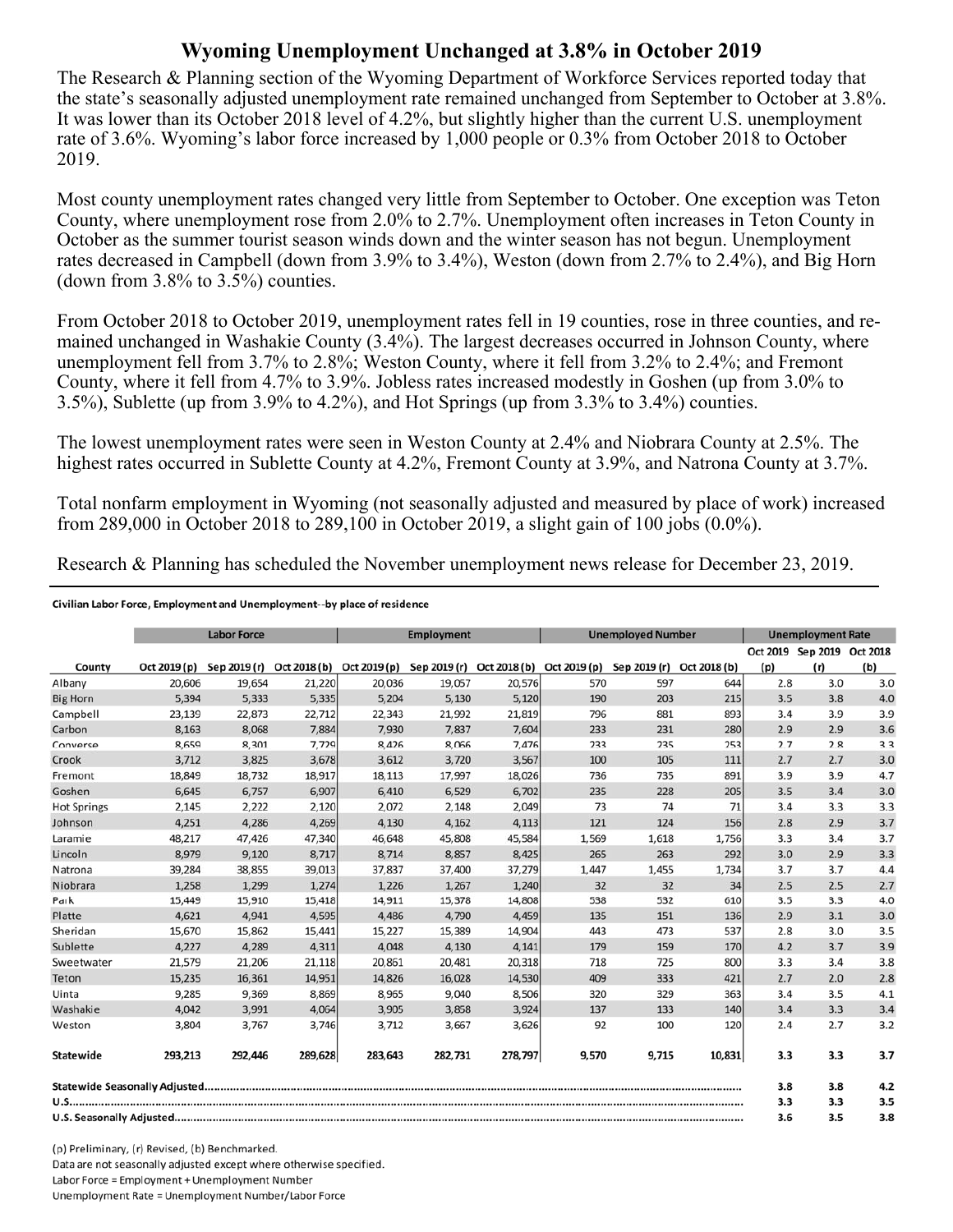## **Wyoming Unemployment Unchanged at 3.8% in October 2019**

The Research & Planning section of the Wyoming Department of Workforce Services reported today that the state's seasonally adjusted unemployment rate remained unchanged from September to October at 3.8%. It was lower than its October 2018 level of 4.2%, but slightly higher than the current U.S. unemployment rate of 3.6%. Wyoming's labor force increased by 1,000 people or 0.3% from October 2018 to October 2019.

Most county unemployment rates changed very little from September to October. One exception was Teton County, where unemployment rose from 2.0% to 2.7%. Unemployment often increases in Teton County in October as the summer tourist season winds down and the winter season has not begun. Unemployment rates decreased in Campbell (down from 3.9% to 3.4%), Weston (down from 2.7% to 2.4%), and Big Horn (down from  $3.8\%$  to  $3.5\%$ ) counties.

From October 2018 to October 2019, unemployment rates fell in 19 counties, rose in three counties, and remained unchanged in Washakie County (3.4%). The largest decreases occurred in Johnson County, where unemployment fell from 3.7% to 2.8%; Weston County, where it fell from 3.2% to 2.4%; and Fremont County, where it fell from 4.7% to 3.9%. Jobless rates increased modestly in Goshen (up from 3.0% to 3.5%), Sublette (up from 3.9% to 4.2%), and Hot Springs (up from 3.3% to 3.4%) counties.

The lowest unemployment rates were seen in Weston County at 2.4% and Niobrara County at 2.5%. The highest rates occurred in Sublette County at 4.2%, Fremont County at 3.9%, and Natrona County at 3.7%.

Total nonfarm employment in Wyoming (not seasonally adjusted and measured by place of work) increased from 289,000 in October 2018 to 289,100 in October 2019, a slight gain of 100 jobs (0.0%).

Research & Planning has scheduled the November unemployment news release for December 23, 2019.

## Civilian Labor Force, Employment and Unemployment--by place of residence

|                    | <b>Labor Force</b> |         |         | <b>Employment</b>                      |         |                                        | <b>Unemployed Number</b> |              |              | <b>Unemployment Rate</b> |                            |     |
|--------------------|--------------------|---------|---------|----------------------------------------|---------|----------------------------------------|--------------------------|--------------|--------------|--------------------------|----------------------------|-----|
|                    |                    |         |         |                                        |         |                                        |                          |              |              |                          | Oct 2019 Sep 2019 Oct 2018 |     |
| County             | Oct 2019 (p)       |         |         | Sep 2019 (r) Oct 2018 (b) Oct 2019 (p) |         | Sep 2019 (r) Oct 2018 (b) Oct 2019 (p) |                          | Sep 2019 (r) | Oct 2018 (b) | (p)                      | (r)                        | (b) |
| Albany             | 20,606             | 19,654  | 21,220  | 20,036                                 | 19,057  | 20,576                                 | 570                      | 597          | 644          | 2.8                      | 3.0                        | 3.0 |
| <b>Big Horn</b>    | 5,394              | 5,333   | 5,335   | 5,204                                  | 5,130   | 5,120                                  | 190                      | 203          | 215          | 3.5                      | 3.8                        | 4.0 |
| Campbell           | 23,139             | 22,873  | 22,712  | 22,343                                 | 21,992  | 21,819                                 | 796                      | 881          | 893          | 3.4                      | 3.9                        | 3.9 |
| Carbon             | 8,163              | 8,068   | 7,884   | 7,930                                  | 7,837   | 7,604                                  | 233                      | 231          | 280          | 2.9                      | 2.9                        | 3.6 |
| Converse           | 8,659              | 8,301   | 7,729   | 8,426                                  | 8,066   | 7,476                                  | 233                      | 235          | 253          | 2.7                      | 2.8                        | 3.3 |
| Crook              | 3,712              | 3,825   | 3,678   | 3,612                                  | 3,720   | 3,567                                  | 100                      | 105          | 111          | 2.7                      | 2.7                        | 3.0 |
| Fremont            | 18,849             | 18,732  | 18,917  | 18.113                                 | 17.997  | 18.026                                 | 736                      | 735          | 891          | 3.9                      | 3.9                        | 4.7 |
| Goshen             | 6,645              | 6,757   | 6,907   | 6,410                                  | 6,529   | 6,702                                  | 235                      | 228          | 205          | 3.5                      | 3.4                        | 3.0 |
| <b>Hot Springs</b> | 2,145              | 2,222   | 2,120   | 2,072                                  | 2,148   | 2,049                                  | 73                       | 74           | 71           | 3.4                      | 3.3                        | 3.3 |
| Johnson            | 4,251              | 4,286   | 4,269   | 4,130                                  | 4,162   | 4,113                                  | 121                      | 124          | 156          | 2.8                      | 2.9                        | 3.7 |
| Laramie            | 48,217             | 47,426  | 47,340  | 46,648                                 | 45,808  | 45,584                                 | 1,569                    | 1,618        | 1,756        | 3.3                      | 3.4                        | 3.7 |
| Lincoln            | 8,979              | 9,120   | 8,717   | 8,714                                  | 8,857   | 8,425                                  | 265                      | 263          | 292          | 3.0                      | 2.9                        | 3.3 |
| Natrona            | 39,284             | 38,855  | 39,013  | 37,837                                 | 37,400  | 37,279                                 | 1,447                    | 1,455        | 1,734        | 3.7                      | 3.7                        | 4.4 |
| Niobrara           | 1,258              | 1,299   | 1,274   | 1,226                                  | 1,267   | 1,240                                  | 32                       | 32           | 34           | 2.5                      | 2.5                        | 2.7 |
| Park               | 15,449             | 15,910  | 15,418  | 14,911                                 | 15,378  | 14,808                                 | 538                      | 532          | 610          | 3.5                      | 3.3                        | 4.0 |
| Platte             | 4,621              | 4,941   | 4,595   | 4,486                                  | 4,790   | 4,459                                  | 135                      | 151          | 136          | 2.9                      | 3.1                        | 3.0 |
| Sheridan           | 15,670             | 15,862  | 15,441  | 15,227                                 | 15,389  | 14,904                                 | 443                      | 473          | 537          | 2.8                      | 3.0                        | 3.5 |
| Sublette           | 4,227              | 4,289   | 4,311   | 4,048                                  | 4,130   | 4,141                                  | 179                      | 159          | 170          | 4.2                      | 3.7                        | 3.9 |
| Sweetwater         | 21,579             | 21,206  | 21,118  | 20,861                                 | 20,481  | 20,318                                 | 718                      | 725          | 800          | 3.3                      | 3.4                        | 3.8 |
| Teton              | 15.235             | 16.361  | 14.951  | 14,826                                 | 16,028  | 14,530                                 | 409                      | 333          | 421          | 2.7                      | 2.0                        | 2.8 |
| Uinta              | 9,285              | 9,369   | 8,869   | 8,965                                  | 9,040   | 8,506                                  | 320                      | 329          | 363          | 3.4                      | 3.5                        | 4.1 |
| Washakie           | 4.042              | 3,991   | 4,064   | 3,905                                  | 3,858   | 3,924                                  | 137                      | 133          | 140          | 3.4                      | 3.3                        | 3.4 |
| Weston             | 3,804              | 3,767   | 3,746   | 3,712                                  | 3,667   | 3,626                                  | 92                       | 100          | 120          | 2.4                      | 2.7                        | 3.2 |
| Statewide          | 293,213            | 292.446 | 289,628 | 283.643                                | 282.731 | 278,797                                | 9,570                    | 9,715        | 10,831       | 3.3                      | 3.3                        | 3.7 |
|                    |                    |         |         |                                        |         |                                        |                          | 3.8          | 3.8          | 4.2                      |                            |     |
|                    |                    |         |         |                                        |         |                                        |                          | 3.3          | 3.3          | 3.5                      |                            |     |
|                    |                    |         |         |                                        |         |                                        |                          | 3.6          | 3.5          | 3.8                      |                            |     |

(p) Preliminary, (r) Revised, (b) Benchmarked. Data are not seasonally adjusted except where otherwise specified. Labor Force = Employment + Unemployment Number Unemployment Rate = Unemployment Number/Labor Force